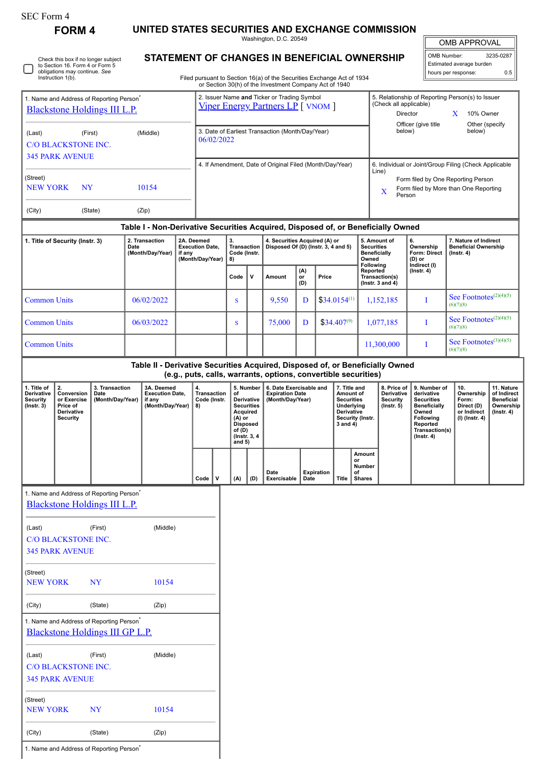| SEC Form 4 |  |
|------------|--|
|------------|--|

(Last) (First) (Middle)

NEW YORK NY 10154

(City) (State) (Zip)

1. Name and Address of Reporting Person<sup>\*</sup>

C/O BLACKSTONE INC. 345 PARK AVENUE

(Street)

**FORM 4 UNITED STATES SECURITIES AND EXCHANGE COMMISSION**

Washington, D.C. 20549

|  | Check this box if no longer subject<br>to Section 16. Form 4 or Form 5<br>obligations may continue. See<br>Instruction 1(b). |
|--|------------------------------------------------------------------------------------------------------------------------------|
|--|------------------------------------------------------------------------------------------------------------------------------|

## **STATEMENT OF CHANGES IN BENEFICIAL OWNERSHIP**

OMB Number: 3235-0287 Estimated average burden

OMB APPROVAL

|                                                                                         | obligations may continue. See<br>Instruction 1(b).                                          |                                            |                                                                                  |                                                                                                                                                   |                                                          |                                                                |                                                                                                                                                                                                                                                                                |              | Filed pursuant to Section 16(a) of the Securities Exchange Act of 1934                 |                                                                                     |                                                          |                                                                                                                                                |                                                                                                          |                                                                                 |                                  | hours per response:                             | 0.5 |
|-----------------------------------------------------------------------------------------|---------------------------------------------------------------------------------------------|--------------------------------------------|----------------------------------------------------------------------------------|---------------------------------------------------------------------------------------------------------------------------------------------------|----------------------------------------------------------|----------------------------------------------------------------|--------------------------------------------------------------------------------------------------------------------------------------------------------------------------------------------------------------------------------------------------------------------------------|--------------|----------------------------------------------------------------------------------------|-------------------------------------------------------------------------------------|----------------------------------------------------------|------------------------------------------------------------------------------------------------------------------------------------------------|----------------------------------------------------------------------------------------------------------|---------------------------------------------------------------------------------|----------------------------------|-------------------------------------------------|-----|
| 1. Name and Address of Reporting Person <sup>*</sup><br>Blackstone Holdings III L.P.    |                                                                                             |                                            |                                                                                  | or Section 30(h) of the Investment Company Act of 1940<br>2. Issuer Name and Ticker or Trading Symbol<br><b>Viper Energy Partners LP</b> [ VNOM ] |                                                          |                                                                |                                                                                                                                                                                                                                                                                |              |                                                                                        |                                                                                     |                                                          |                                                                                                                                                | 5. Relationship of Reporting Person(s) to Issuer<br>(Check all applicable)<br>Director<br>X<br>10% Owner |                                                                                 |                                  |                                                 |     |
| (Last)                                                                                  | (First)<br>(Middle)<br><b>C/O BLACKSTONE INC.</b>                                           |                                            |                                                                                  |                                                                                                                                                   |                                                          | 3. Date of Earliest Transaction (Month/Day/Year)<br>06/02/2022 |                                                                                                                                                                                                                                                                                |              |                                                                                        |                                                                                     |                                                          |                                                                                                                                                |                                                                                                          | Officer (give title<br>Other (specify<br>below)<br>below)                       |                                  |                                                 |     |
| <b>345 PARK AVENUE</b><br>(Street)                                                      |                                                                                             |                                            |                                                                                  |                                                                                                                                                   | 4. If Amendment, Date of Original Filed (Month/Day/Year) |                                                                |                                                                                                                                                                                                                                                                                |              |                                                                                        |                                                                                     |                                                          |                                                                                                                                                | 6. Individual or Joint/Group Filing (Check Applicable<br>Line)<br>Form filed by One Reporting Person     |                                                                                 |                                  |                                                 |     |
| <b>NEW YORK</b><br>(City)                                                               | <b>NY</b>                                                                                   | (State)                                    | 10154<br>(Zip)                                                                   |                                                                                                                                                   |                                                          |                                                                |                                                                                                                                                                                                                                                                                |              |                                                                                        |                                                                                     |                                                          | Form filed by More than One Reporting<br>$\mathbf X$<br>Person                                                                                 |                                                                                                          |                                                                                 |                                  |                                                 |     |
|                                                                                         |                                                                                             |                                            | Table I - Non-Derivative Securities Acquired, Disposed of, or Beneficially Owned |                                                                                                                                                   |                                                          |                                                                |                                                                                                                                                                                                                                                                                |              |                                                                                        |                                                                                     |                                                          |                                                                                                                                                |                                                                                                          |                                                                                 |                                  |                                                 |     |
| 1. Title of Security (Instr. 3)<br>2. Transaction<br>Date<br>(Month/Day/Year)<br>if any |                                                                                             |                                            | 2A. Deemed<br><b>Execution Date.</b><br>(Month/Day/Year)                         |                                                                                                                                                   | 3.<br><b>Transaction</b><br>Code (Instr.<br>8)           |                                                                | 4. Securities Acquired (A) or<br>Disposed Of (D) (Instr. 3, 4 and 5)                                                                                                                                                                                                           |              | Owned<br>Following                                                                     |                                                                                     | 5. Amount of<br><b>Securities</b><br><b>Beneficially</b> | 6.<br>Ownership<br><b>Form: Direct</b><br>(D) or                                                                                               | 7. Nature of Indirect<br><b>Beneficial Ownership</b><br>$($ lnstr. 4 $)$                                 |                                                                                 |                                  |                                                 |     |
|                                                                                         |                                                                                             |                                            |                                                                                  |                                                                                                                                                   |                                                          |                                                                | Code                                                                                                                                                                                                                                                                           | $\mathsf{v}$ | Amount                                                                                 | (A)<br>or<br>(D)                                                                    | Price                                                    |                                                                                                                                                |                                                                                                          | Reported<br>Transaction(s)<br>( $lnstr. 3 and 4$ )                              | Indirect (I)<br>$($ lnstr. 4 $)$ |                                                 |     |
| <b>Common Units</b>                                                                     |                                                                                             |                                            | 06/02/2022                                                                       |                                                                                                                                                   |                                                          |                                                                | S                                                                                                                                                                                                                                                                              |              | 9,550                                                                                  | D                                                                                   |                                                          | $$34.0154^{(1)}$                                                                                                                               |                                                                                                          | 1,152,185                                                                       | I                                | See Footnotes <sup>(2)(4)(5)</sup><br>(6)(7)(8) |     |
| <b>Common Units</b>                                                                     |                                                                                             |                                            | 06/03/2022                                                                       |                                                                                                                                                   |                                                          |                                                                | S                                                                                                                                                                                                                                                                              |              | $$34.407^{(9)}$<br>75,000<br>D                                                         |                                                                                     |                                                          | 1,077,185                                                                                                                                      | T                                                                                                        | See Footnotes <sup>(2)(4)(5)</sup><br>(6)(7)(8)                                 |                                  |                                                 |     |
| <b>Common Units</b>                                                                     |                                                                                             |                                            |                                                                                  |                                                                                                                                                   |                                                          |                                                                |                                                                                                                                                                                                                                                                                |              | 11,300,000                                                                             |                                                                                     | I                                                        | See Footnotes $(3)(4)(5)$<br>(6)(7)(8)                                                                                                         |                                                                                                          |                                                                                 |                                  |                                                 |     |
|                                                                                         |                                                                                             |                                            | Table II - Derivative Securities Acquired, Disposed of, or Beneficially Owned    |                                                                                                                                                   |                                                          |                                                                |                                                                                                                                                                                                                                                                                |              |                                                                                        |                                                                                     |                                                          |                                                                                                                                                |                                                                                                          |                                                                                 |                                  |                                                 |     |
| 1. Title of<br>Derivative<br><b>Security</b><br>$($ Instr. 3 $)$                        | 2.<br>Conversion<br>or Exercise<br>Price of<br>Derivative<br>Security                       | 3. Transaction<br>Date<br>(Month/Day/Year) | 3A. Deemed<br><b>Execution Date,</b><br>if any<br>(Month/Day/Year)               |                                                                                                                                                   | 4.<br><b>Transaction</b><br>Code (Instr.<br>8)           |                                                                | (e.g., puts, calls, warrants, options, convertible securities)<br>5. Number<br>6. Date Exercisable and<br>of<br><b>Expiration Date</b><br>Derivative<br>(Month/Day/Year)<br><b>Securities</b><br>Acquired<br>$(A)$ or<br><b>Disposed</b><br>of (D)<br>(Instr. 3, 4<br>and $5)$ |              | 7. Title and<br>Amount of<br><b>Securities</b><br>Underlying<br>Derivative<br>3 and 4) | 8. Price of<br>Derivative<br><b>Security</b><br>$($ Instr. $5)$<br>Security (Instr. |                                                          | 9. Number of<br>derivative<br><b>Securities</b><br><b>Beneficially</b><br>Owned<br>Following<br>Reported<br>Transaction(s)<br>$($ Instr. 4 $)$ | 10.<br>Ownership<br>Form:<br>Direct (D)<br>or Indirect<br>(I) (Instr. 4)                                 | 11. Nature<br>of Indirect<br><b>Beneficial</b><br>Ownership<br>$($ Instr. 4 $)$ |                                  |                                                 |     |
|                                                                                         |                                                                                             |                                            |                                                                                  |                                                                                                                                                   | Code $ V $                                               |                                                                | (A)                                                                                                                                                                                                                                                                            | (D)          | Date<br>Exercisable                                                                    | Date                                                                                | <b>Expiration</b>                                        | Title   Shares                                                                                                                                 | Amount<br>or<br><b>Number</b><br>of                                                                      |                                                                                 |                                  |                                                 |     |
|                                                                                         | 1. Name and Address of Reporting Person <sup>*</sup><br><b>Blackstone Holdings III L.P.</b> |                                            |                                                                                  |                                                                                                                                                   |                                                          |                                                                |                                                                                                                                                                                                                                                                                |              |                                                                                        |                                                                                     |                                                          |                                                                                                                                                |                                                                                                          |                                                                                 |                                  |                                                 |     |
|                                                                                         |                                                                                             |                                            |                                                                                  |                                                                                                                                                   |                                                          |                                                                |                                                                                                                                                                                                                                                                                |              |                                                                                        |                                                                                     |                                                          |                                                                                                                                                |                                                                                                          |                                                                                 |                                  |                                                 |     |
| (Last)                                                                                  | <b>C/O BLACKSTONE INC.</b><br><b>345 PARK AVENUE</b>                                        | (First)                                    | (Middle)                                                                         |                                                                                                                                                   |                                                          |                                                                |                                                                                                                                                                                                                                                                                |              |                                                                                        |                                                                                     |                                                          |                                                                                                                                                |                                                                                                          |                                                                                 |                                  |                                                 |     |
| (Street)<br><b>NEW YORK</b>                                                             |                                                                                             | <b>NY</b>                                  | 10154                                                                            |                                                                                                                                                   |                                                          |                                                                |                                                                                                                                                                                                                                                                                |              |                                                                                        |                                                                                     |                                                          |                                                                                                                                                |                                                                                                          |                                                                                 |                                  |                                                 |     |
| (City)                                                                                  |                                                                                             | (State)                                    | (Zip)                                                                            |                                                                                                                                                   |                                                          |                                                                |                                                                                                                                                                                                                                                                                |              |                                                                                        |                                                                                     |                                                          |                                                                                                                                                |                                                                                                          |                                                                                 |                                  |                                                 |     |
| 1. Name and Address of Reporting Person <sup>*</sup>                                    |                                                                                             |                                            |                                                                                  |                                                                                                                                                   |                                                          |                                                                |                                                                                                                                                                                                                                                                                |              |                                                                                        |                                                                                     |                                                          |                                                                                                                                                |                                                                                                          |                                                                                 |                                  |                                                 |     |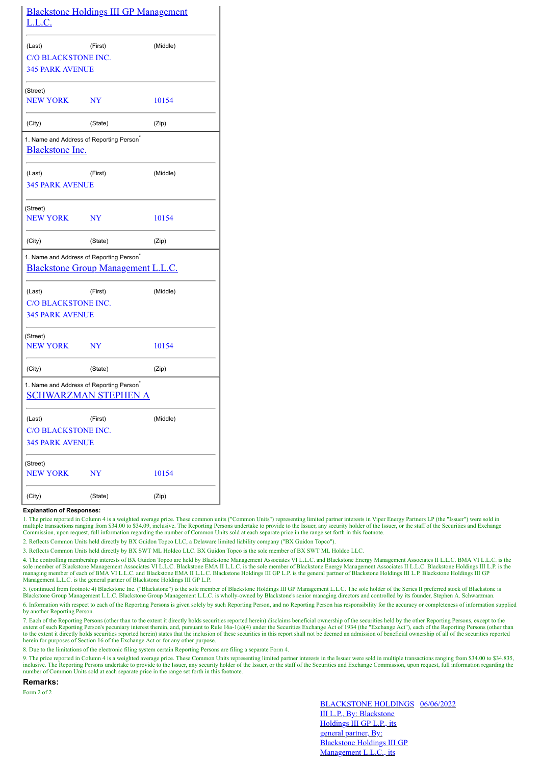| <u>L.L.C.</u>               | <b>Blackstone Holdings III GP Management</b>                                               |          |
|-----------------------------|--------------------------------------------------------------------------------------------|----------|
| (Last)                      | (First)                                                                                    | (Middle) |
| <b>C/O BLACKSTONE INC.</b>  |                                                                                            |          |
| <b>345 PARK AVENUE</b>      |                                                                                            |          |
| (Street)<br><b>NEW YORK</b> | NY                                                                                         | 10154    |
| (City)                      | (State)                                                                                    | (Zip)    |
| <b>Blackstone Inc.</b>      | 1. Name and Address of Reporting Person <sup>*</sup>                                       |          |
| (Last)                      | (First)                                                                                    | (Middle) |
| <b>345 PARK AVENUE</b>      |                                                                                            |          |
| (Street)                    |                                                                                            |          |
| <b>NEW YORK</b>             | $_{\rm NY}$                                                                                | 10154    |
| (City)                      | (State)                                                                                    | (Zip)    |
|                             | 1. Name and Address of Reporting Person <sup>*</sup><br>Blackstone Group Management L.L.C. |          |
| (Last)                      | (First)                                                                                    | (Middle) |
| <b>C/O BLACKSTONE INC.</b>  |                                                                                            |          |
| <b>345 PARK AVENUE</b>      |                                                                                            |          |
| (Street)<br><b>NEW YORK</b> | NY                                                                                         | 10154    |
| (City)                      | (State)                                                                                    | (Zip)    |
|                             | 1. Name and Address of Reporting Person <sup>*</sup><br><b>SCHWARZMAN STEPHEN A</b>        |          |
| (Last)                      | (First)                                                                                    | (Middle) |
| <b>C/O BLACKSTONE INC.</b>  |                                                                                            |          |
| <b>345 PARK AVENUE</b>      |                                                                                            |          |
| (Street)<br><b>NEW YORK</b> | NY                                                                                         | 10154    |
| (City)                      | (State)                                                                                    | (Zip)    |

## **Explanation of Responses:**

1. The price reported in Column 4 is a weighted average price. These common units ("Common Units") representing limited partner interests in Viper Energy Partners LP (the "Issuer") were sold in multiple transactions rangin

2. Reflects Common Units held directly by BX Guidon Topco LLC, a Delaware limited liability company ("BX Guidon Topco").

3. Reflects Common Units held directly by BX SWT ML Holdco LLC. BX Guidon Topco is the sole member of BX SWT ML Holdco LLC.

4. The controlling membership interests of BX Guidon Topco are held by Blackstone Management Associates VI L.L.C. and Blackstone Energy Management Associates II L.L.C. BMA VI L.L.C. is the sole member of Blackstone Management Associates VI L.L.C. Blackstone EMA II L.L.C. is the sole member of Blackstone Energy Management Associates II L.L.C. Blackstone Holdings III L.P. is the managing member of each of BMA Management L.L.C. is the general partner of Blackstone Holdings III GP L.P.

5. (continued from footnote 4) Blackstone Inc. ("Blackstone") is the sole member of Blackstone Holdings III GP Management L.L.C. The sole holder of the Series II preferred stock of Blackstone is<br>Blackstone Group Management

6. Information with respect to each of the Reporting Persons is given solely by such Reporting Person, and no Reporting Person has responsibility for the accuracy or completeness of information supplied by another Reporting Person.

7. Each of the Reporting Persons (other than to the extent it directly holds securities reported herein) disclaims beneficial ownership of the securities held by the other Reporting Persons, except to the extent of such Reporting Person's pecuniary interest therein, and, pursuant to Rule 16a-1(a)(4) under the Securities Exchange Act of 1934 (the "Exchange Act"), each of the Reporting Persons (other than<br>to the extent it dir herein for purposes of Section 16 of the Exchange Act or for any other purpose.

8. Due to the limitations of the electronic filing system certain Reporting Persons are filing a separate Form 4.

9. The price reported in Column 4 is a weighted average price. These Common Units representing limited partner interests in the Issuer were sold in multiple transactions ranging from \$34.00 to \$34.835, inclusive. The Reporting Persons undertake to provide to the Issuer, any security holder of the Issuer, or the staff of the Securities and Exchange Commission, upon request, full information regarding the number of Common Units sold at each separate price in the range set forth in this footnote.

**Remarks:**

Form 2 of 2

BLACKSTONE HOLDINGS 06/06/2022III L.P., By: Blackstone Holdings III GP L.P., its general partner, By: Blackstone Holdings III GP Management L.L.C., its